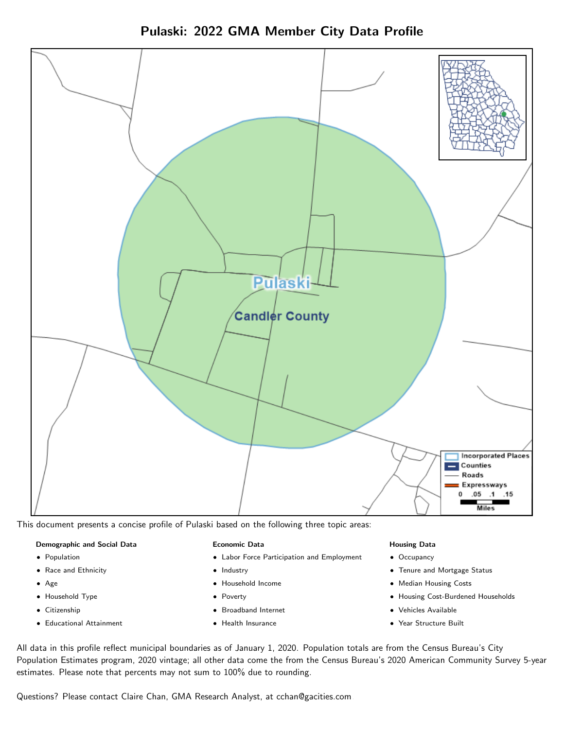Pulaski: 2022 GMA Member City Data Profile



This document presents a concise profile of Pulaski based on the following three topic areas:

#### Demographic and Social Data

- **•** Population
- Race and Ethnicity
- Age
- Household Type
- **Citizenship**
- Educational Attainment

#### Economic Data

- Labor Force Participation and Employment
- Industry
- Household Income
- Poverty
- Broadband Internet
- Health Insurance

#### Housing Data

- Occupancy
- Tenure and Mortgage Status
- Median Housing Costs
- Housing Cost-Burdened Households
- Vehicles Available
- Year Structure Built

All data in this profile reflect municipal boundaries as of January 1, 2020. Population totals are from the Census Bureau's City Population Estimates program, 2020 vintage; all other data come the from the Census Bureau's 2020 American Community Survey 5-year estimates. Please note that percents may not sum to 100% due to rounding.

Questions? Please contact Claire Chan, GMA Research Analyst, at [cchan@gacities.com.](mailto:cchan@gacities.com)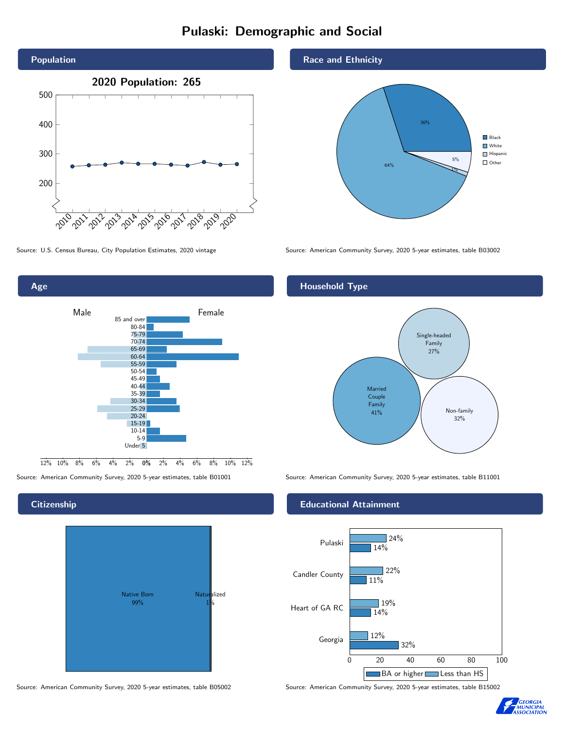## Pulaski: Demographic and Social



Source: U.S. Census Bureau, City Population Estimates, 2020 vintage Source: American Community Survey, 2020 5-year estimates, table B03002



## **Citizenship**



Source: American Community Survey, 2020 5-year estimates, table B05002 Source: American Community Survey, 2020 5-year estimates, table B15002

#### Race and Ethnicity



### Household Type



Source: American Community Survey, 2020 5-year estimates, table B01001 Source: American Community Survey, 2020 5-year estimates, table B11001

#### Educational Attainment



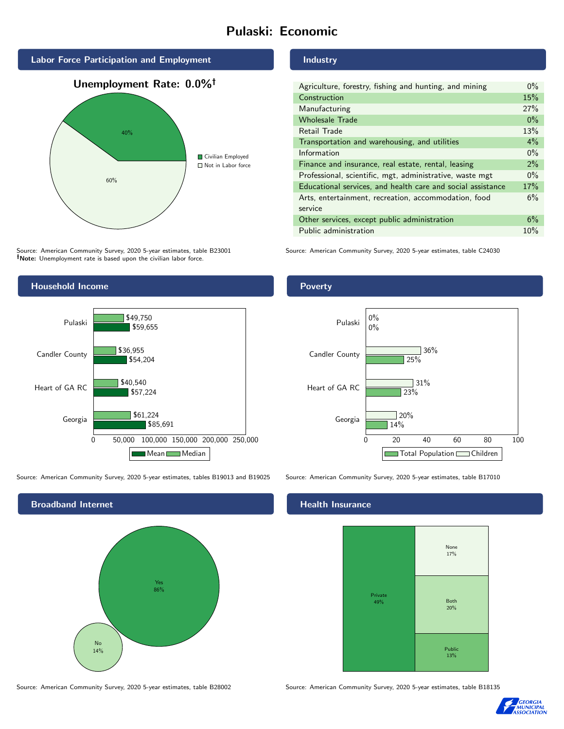## Pulaski: Economic



Source: American Community Survey, 2020 5-year estimates, table B23001 Note: Unemployment rate is based upon the civilian labor force.



Source: American Community Survey, 2020 5-year estimates, tables B19013 and B19025 Source: American Community Survey, 2020 5-year estimates, table B17010



#### Industry

| Agriculture, forestry, fishing and hunting, and mining      | $0\%$ |
|-------------------------------------------------------------|-------|
| Construction                                                | 15%   |
| Manufacturing                                               | 27%   |
| <b>Wholesale Trade</b>                                      | $0\%$ |
| Retail Trade                                                | 13%   |
| Transportation and warehousing, and utilities               | $4\%$ |
| Information                                                 | $0\%$ |
| Finance and insurance, real estate, rental, leasing         | 2%    |
| Professional, scientific, mgt, administrative, waste mgt    | $0\%$ |
| Educational services, and health care and social assistance | 17%   |
| Arts, entertainment, recreation, accommodation, food        | 6%    |
| service                                                     |       |
| Other services, except public administration                | 6%    |
| Public administration                                       | 10%   |

Source: American Community Survey, 2020 5-year estimates, table C24030

#### Poverty



### **Health Insurance**



Source: American Community Survey, 2020 5-year estimates, table B28002 Source: American Community Survey, 2020 5-year estimates, table B18135